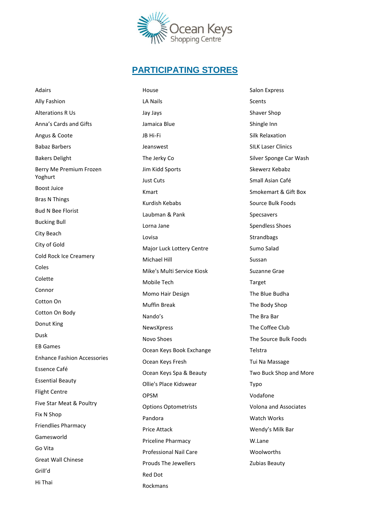

## **PARTICIPATING STORES**

House

Adairs Ally Fashion Alterations R Us Anna's Cards and Gifts Angus & Coote Babaz Barbers Bakers Delight Berry Me Premium Frozen Yoghurt Boost Juice Bras N Things Bud N Bee Florist Bucking Bull City Beach City of Gold Cold Rock Ice Creamery Coles Colette Connor Cotton On Cotton On Body Donut King Dusk EB Games Enhance Fashion Accessories Essence Café Essential Beauty Flight Centre Five Star Meat & Poultry Fix N Shop Friendlies Pharmacy Gamesworld Go Vita Great Wall Chinese Grill'd Hi Thai

LA Nails Jay Jays Jamaica Blue JB Hi-Fi Jeanswest The Jerky Co Jim Kidd Sports Just Cuts Kmart Kurdish Kebabs Laubman & Pank Lorna Jane Lovisa Major Luck Lottery Centre Michael Hill Mike's Multi Service Kiosk Mobile Tech Momo Hair Design Muffin Break Nando's NewsXpress Novo Shoes Ocean Keys Book Exchange Ocean Keys Fresh Ocean Keys Spa & Beauty Ollie's Place Kidswear OPSM Options Optometrists Pandora Price Attack Priceline Pharmacy Professional Nail Care Prouds The Jewellers Red Dot Rockmans

Salon Express Scents Shaver Shop Shingle Inn Silk Relaxation SILK Laser Clinics Silver Sponge Car Wash Skewerz Kebabz Small Asian Café Smokemart & Gift Box Source Bulk Foods Specsavers Spendless Shoes Strandbags Sumo Salad Sussan Suzanne Grae Target The Blue Budha The Body Shop The Bra Bar The Coffee Club The Source Bulk Foods Telstra Tui Na Massage Two Buck Shop and More Typo Vodafone Volona and Associates Watch Works Wendy's Milk Bar W.Lane Woolworths Zubias Beauty